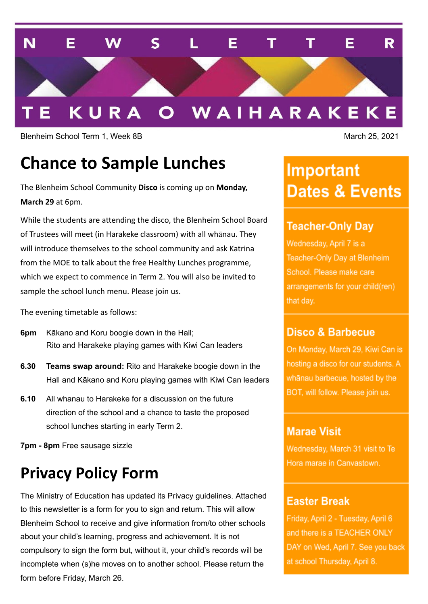

Blenheim School Term 1, Week 8B March 25, 2021

# **Chance to Sample Lunches**

The Blenheim School Community **Disco** is coming up on **Monday, March 29** at 6pm.

While the students are attending the disco, the Blenheim School Board of Trustees will meet (in Harakeke classroom) with all whānau. They will introduce themselves to the school community and ask Katrina from the MOE to talk about the free Healthy Lunches programme, which we expect to commence in Term 2. You will also be invited to sample the school lunch menu. Please join us.

The evening timetable as follows:

- **6pm** Kākano and Koru boogie down in the Hall; Rito and Harakeke playing games with Kiwi Can leaders
- **6.30 Teams swap around:** Rito and Harakeke boogie down in the Hall and Kākano and Koru playing games with Kiwi Can leaders
- **6.10** All whanau to Harakeke for a discussion on the future direction of the school and a chance to taste the proposed school lunches starting in early Term 2.

**7pm - 8pm** Free sausage sizzle

# **Privacy Policy Form**

The Ministry of Education has updated its Privacy guidelines. Attached to this newsletter is a form for you to sign and return. This will allow Blenheim School to receive and give information from/to other schools about your child's learning, progress and achievement. It is not compulsory to sign the form but, without it, your child's records will be incomplete when (s)he moves on to another school. Please return the form before Friday, March 26.

# **Important Dates & Events**

## **Teacher-Only Day**

Wednesday, April 7 is a Teacher-Only Day at Blenheim School. Please make care arrangements for your child(ren) that day.

#### **Disco & Barbecue**

On Monday, March 29, Kiwi Can is hosting a disco for our students. A whānau barbecue, hosted by the BOT, will follow. Please join us.

### **Marae Visit**

Wednesday, March 31 visit to Te Hora marae in Canvastown.

### **Easter Break**

Friday, April 2 - Tuesday, April 6 and there is a TEACHER ONLY DAY on Wed, April 7. See you back at school Thursday, April 8.